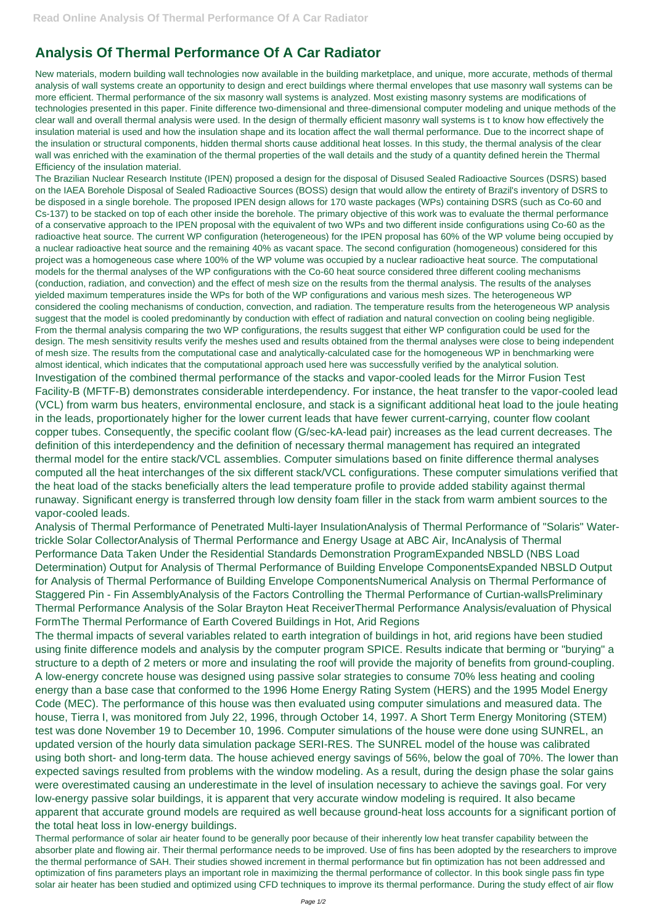## **Analysis Of Thermal Performance Of A Car Radiator**

New materials, modern building wall technologies now available in the building marketplace, and unique, more accurate, methods of thermal analysis of wall systems create an opportunity to design and erect buildings where thermal envelopes that use masonry wall systems can be more efficient. Thermal performance of the six masonry wall systems is analyzed. Most existing masonry systems are modifications of technologies presented in this paper. Finite difference two-dimensional and three-dimensional computer modeling and unique methods of the clear wall and overall thermal analysis were used. In the design of thermally efficient masonry wall systems is t to know how effectively the insulation material is used and how the insulation shape and its location affect the wall thermal performance. Due to the incorrect shape of the insulation or structural components, hidden thermal shorts cause additional heat losses. In this study, the thermal analysis of the clear wall was enriched with the examination of the thermal properties of the wall details and the study of a quantity defined herein the Thermal Efficiency of the insulation material.

The Brazilian Nuclear Research Institute (IPEN) proposed a design for the disposal of Disused Sealed Radioactive Sources (DSRS) based on the IAEA Borehole Disposal of Sealed Radioactive Sources (BOSS) design that would allow the entirety of Brazil's inventory of DSRS to be disposed in a single borehole. The proposed IPEN design allows for 170 waste packages (WPs) containing DSRS (such as Co-60 and Cs-137) to be stacked on top of each other inside the borehole. The primary objective of this work was to evaluate the thermal performance of a conservative approach to the IPEN proposal with the equivalent of two WPs and two different inside configurations using Co-60 as the radioactive heat source. The current WP configuration (heterogeneous) for the IPEN proposal has 60% of the WP volume being occupied by a nuclear radioactive heat source and the remaining 40% as vacant space. The second configuration (homogeneous) considered for this project was a homogeneous case where 100% of the WP volume was occupied by a nuclear radioactive heat source. The computational models for the thermal analyses of the WP configurations with the Co-60 heat source considered three different cooling mechanisms (conduction, radiation, and convection) and the effect of mesh size on the results from the thermal analysis. The results of the analyses yielded maximum temperatures inside the WPs for both of the WP configurations and various mesh sizes. The heterogeneous WP considered the cooling mechanisms of conduction, convection, and radiation. The temperature results from the heterogeneous WP analysis suggest that the model is cooled predominantly by conduction with effect of radiation and natural convection on cooling being negligible. From the thermal analysis comparing the two WP configurations, the results suggest that either WP configuration could be used for the design. The mesh sensitivity results verify the meshes used and results obtained from the thermal analyses were close to being independent of mesh size. The results from the computational case and analytically-calculated case for the homogeneous WP in benchmarking were almost identical, which indicates that the computational approach used here was successfully verified by the analytical solution. Investigation of the combined thermal performance of the stacks and vapor-cooled leads for the Mirror Fusion Test Facility-B (MFTF-B) demonstrates considerable interdependency. For instance, the heat transfer to the vapor-cooled lead (VCL) from warm bus heaters, environmental enclosure, and stack is a significant additional heat load to the joule heating in the leads, proportionately higher for the lower current leads that have fewer current-carrying, counter flow coolant copper tubes. Consequently, the specific coolant flow (G/sec-kA-lead pair) increases as the lead current decreases. The definition of this interdependency and the definition of necessary thermal management has required an integrated thermal model for the entire stack/VCL assemblies. Computer simulations based on finite difference thermal analyses computed all the heat interchanges of the six different stack/VCL configurations. These computer simulations verified that the heat load of the stacks beneficially alters the lead temperature profile to provide added stability against thermal runaway. Significant energy is transferred through low density foam filler in the stack from warm ambient sources to the vapor-cooled leads.

Analysis of Thermal Performance of Penetrated Multi-layer InsulationAnalysis of Thermal Performance of "Solaris" Watertrickle Solar CollectorAnalysis of Thermal Performance and Energy Usage at ABC Air, IncAnalysis of Thermal Performance Data Taken Under the Residential Standards Demonstration ProgramExpanded NBSLD (NBS Load Determination) Output for Analysis of Thermal Performance of Building Envelope ComponentsExpanded NBSLD Output for Analysis of Thermal Performance of Building Envelope ComponentsNumerical Analysis on Thermal Performance of Staggered Pin - Fin AssemblyAnalysis of the Factors Controlling the Thermal Performance of Curtian-wallsPreliminary Thermal Performance Analysis of the Solar Brayton Heat ReceiverThermal Performance Analysis/evaluation of Physical FormThe Thermal Performance of Earth Covered Buildings in Hot, Arid Regions

The thermal impacts of several variables related to earth integration of buildings in hot, arid regions have been studied using finite difference models and analysis by the computer program SPICE. Results indicate that berming or "burying" a structure to a depth of 2 meters or more and insulating the roof will provide the majority of benefits from ground-coupling. A low-energy concrete house was designed using passive solar strategies to consume 70% less heating and cooling energy than a base case that conformed to the 1996 Home Energy Rating System (HERS) and the 1995 Model Energy Code (MEC). The performance of this house was then evaluated using computer simulations and measured data. The house, Tierra I, was monitored from July 22, 1996, through October 14, 1997. A Short Term Energy Monitoring (STEM) test was done November 19 to December 10, 1996. Computer simulations of the house were done using SUNREL, an updated version of the hourly data simulation package SERI-RES. The SUNREL model of the house was calibrated using both short- and long-term data. The house achieved energy savings of 56%, below the goal of 70%. The lower than expected savings resulted from problems with the window modeling. As a result, during the design phase the solar gains were overestimated causing an underestimate in the level of insulation necessary to achieve the savings goal. For very low-energy passive solar buildings, it is apparent that very accurate window modeling is required. It also became apparent that accurate ground models are required as well because ground-heat loss accounts for a significant portion of the total heat loss in low-energy buildings. Thermal performance of solar air heater found to be generally poor because of their inherently low heat transfer capability between the absorber plate and flowing air. Their thermal performance needs to be improved. Use of fins has been adopted by the researchers to improve the thermal performance of SAH. Their studies showed increment in thermal performance but fin optimization has not been addressed and optimization of fins parameters plays an important role in maximizing the thermal performance of collector. In this book single pass fin type solar air heater has been studied and optimized using CFD techniques to improve its thermal performance. During the study effect of air flow